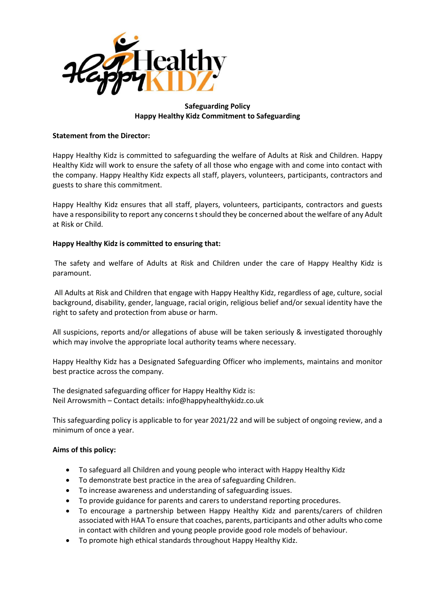

# **Safeguarding Policy Happy Healthy Kidz Commitment to Safeguarding**

## **Statement from the Director:**

Happy Healthy Kidz is committed to safeguarding the welfare of Adults at Risk and Children. Happy Healthy Kidz will work to ensure the safety of all those who engage with and come into contact with the company. Happy Healthy Kidz expects all staff, players, volunteers, participants, contractors and guests to share this commitment.

Happy Healthy Kidz ensures that all staff, players, volunteers, participants, contractors and guests have a responsibility to report any concerns t should they be concerned about the welfare of any Adult at Risk or Child.

## **Happy Healthy Kidz is committed to ensuring that:**

The safety and welfare of Adults at Risk and Children under the care of Happy Healthy Kidz is paramount.

All Adults at Risk and Children that engage with Happy Healthy Kidz, regardless of age, culture, social background, disability, gender, language, racial origin, religious belief and/or sexual identity have the right to safety and protection from abuse or harm.

All suspicions, reports and/or allegations of abuse will be taken seriously & investigated thoroughly which may involve the appropriate local authority teams where necessary.

Happy Healthy Kidz has a Designated Safeguarding Officer who implements, maintains and monitor best practice across the company.

The designated safeguarding officer for Happy Healthy Kidz is: Neil Arrowsmith – Contact details: info@happyhealthykidz.co.uk

This safeguarding policy is applicable to for year 2021/22 and will be subject of ongoing review, and a minimum of once a year.

### **Aims of this policy:**

- To safeguard all Children and young people who interact with Happy Healthy Kidz
- To demonstrate best practice in the area of safeguarding Children.
- To increase awareness and understanding of safeguarding issues.
- To provide guidance for parents and carers to understand reporting procedures.
- To encourage a partnership between Happy Healthy Kidz and parents/carers of children associated with HAA To ensure that coaches, parents, participants and other adults who come in contact with children and young people provide good role models of behaviour.
- To promote high ethical standards throughout Happy Healthy Kidz.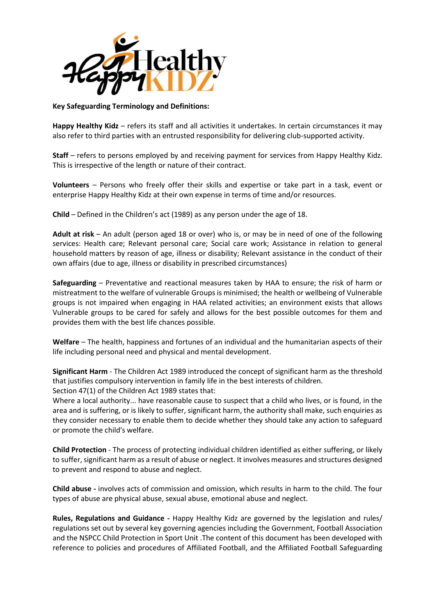

### **Key Safeguarding Terminology and Definitions:**

**Happy Healthy Kidz** – refers its staff and all activities it undertakes. In certain circumstances it may also refer to third parties with an entrusted responsibility for delivering club-supported activity.

**Staff** – refers to persons employed by and receiving payment for services from Happy Healthy Kidz. This is irrespective of the length or nature of their contract.

**Volunteers** – Persons who freely offer their skills and expertise or take part in a task, event or enterprise Happy Healthy Kidz at their own expense in terms of time and/or resources.

**Child** – Defined in the Children's act (1989) as any person under the age of 18.

**Adult at risk** – An adult (person aged 18 or over) who is, or may be in need of one of the following services: Health care; Relevant personal care; Social care work; Assistance in relation to general household matters by reason of age, illness or disability; Relevant assistance in the conduct of their own affairs (due to age, illness or disability in prescribed circumstances)

**Safeguarding** – Preventative and reactional measures taken by HAA to ensure; the risk of harm or mistreatment to the welfare of vulnerable Groups is minimised; the health or wellbeing of Vulnerable groups is not impaired when engaging in HAA related activities; an environment exists that allows Vulnerable groups to be cared for safely and allows for the best possible outcomes for them and provides them with the best life chances possible.

**Welfare** – The health, happiness and fortunes of an individual and the humanitarian aspects of their life including personal need and physical and mental development.

**Significant Harm** - The Children Act 1989 introduced the concept of significant harm as the threshold that justifies compulsory intervention in family life in the best interests of children. Section 47(1) of the Children Act 1989 states that:

Where a local authority... have reasonable cause to suspect that a child who lives, or is found, in the area and is suffering, or is likely to suffer, significant harm, the authority shall make, such enquiries as they consider necessary to enable them to decide whether they should take any action to safeguard or promote the child's welfare.

**Child Protection** - The process of protecting individual children identified as either suffering, or likely to suffer, significant harm as a result of abuse or neglect. It involves measures and structures designed to prevent and respond to abuse and neglect.

**Child abuse -** involves acts of commission and omission, which results in harm to the child. The four types of abuse are physical abuse, sexual abuse, emotional abuse and neglect.

**Rules, Regulations and Guidance -** Happy Healthy Kidz are governed by the legislation and rules/ regulations set out by several key governing agencies including the Government, Football Association and the NSPCC Child Protection in Sport Unit .The content of this document has been developed with reference to policies and procedures of Affiliated Football, and the Affiliated Football Safeguarding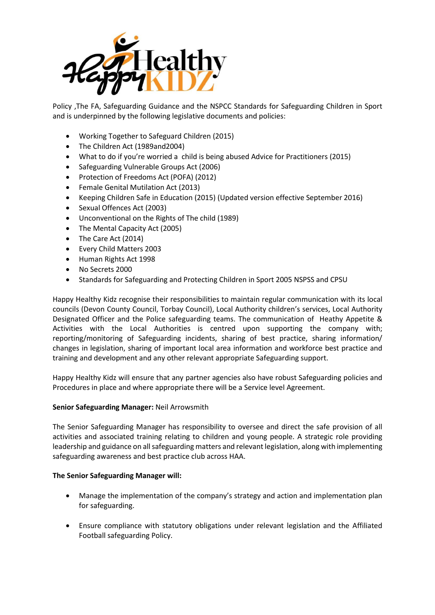

Policy ,The FA, Safeguarding Guidance and the NSPCC Standards for Safeguarding Children in Sport and is underpinned by the following legislative documents and policies:

- Working Together to Safeguard Children (2015)
- The Children Act (1989and2004)
- What to do if you're worried a child is being abused Advice for Practitioners (2015)
- Safeguarding Vulnerable Groups Act (2006)
- Protection of Freedoms Act (POFA) (2012)
- Female Genital Mutilation Act (2013)
- Keeping Children Safe in Education (2015) (Updated version effective September 2016)
- Sexual Offences Act (2003)
- Unconventional on the Rights of The child (1989)
- The Mental Capacity Act (2005)
- The Care Act (2014)
- Every Child Matters 2003
- Human Rights Act 1998
- No Secrets 2000
- Standards for Safeguarding and Protecting Children in Sport 2005 NSPSS and CPSU

Happy Healthy Kidz recognise their responsibilities to maintain regular communication with its local councils (Devon County Council, Torbay Council), Local Authority children's services, Local Authority Designated Officer and the Police safeguarding teams. The communication of Heathy Appetite & Activities with the Local Authorities is centred upon supporting the company with; reporting/monitoring of Safeguarding incidents, sharing of best practice, sharing information/ changes in legislation, sharing of important local area information and workforce best practice and training and development and any other relevant appropriate Safeguarding support.

Happy Healthy Kidz will ensure that any partner agencies also have robust Safeguarding policies and Procedures in place and where appropriate there will be a Service level Agreement.

### **Senior Safeguarding Manager:** Neil Arrowsmith

The Senior Safeguarding Manager has responsibility to oversee and direct the safe provision of all activities and associated training relating to children and young people. A strategic role providing leadership and guidance on all safeguarding matters and relevant legislation, along with implementing safeguarding awareness and best practice club across HAA.

### **The Senior Safeguarding Manager will:**

- Manage the implementation of the company's strategy and action and implementation plan for safeguarding.
- Ensure compliance with statutory obligations under relevant legislation and the Affiliated Football safeguarding Policy.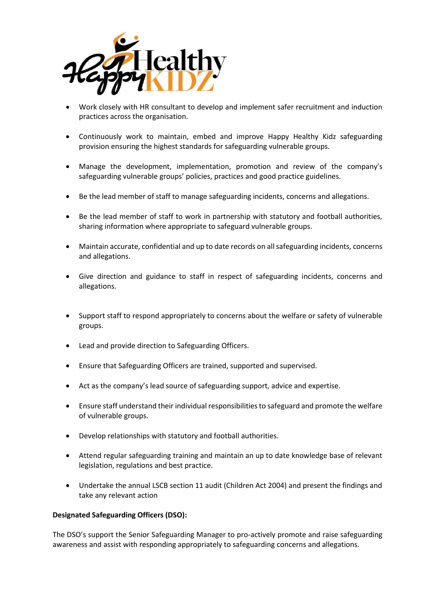

- Work closely with HR consultant to develop and implement safer recruitment and induction practices across the organisation.
- Continuously work to maintain, embed and improve Happy Healthy Kidz safeguarding provision ensuring the highest standards for safeguarding vulnerable groups.
- Manage the development, implementation, promotion and review of the company's safeguarding vulnerable groups' policies, practices and good practice guidelines.
- Be the lead member of staff to manage safeguarding incidents, concerns and allegations.
- Be the lead member of staff to work in partnership with statutory and football authorities, sharing information where appropriate to safeguard vulnerable groups.
- Maintain accurate, confidential and up to date records on all safeguarding incidents, concerns and allegations.
- Give direction and guidance to staff in respect of safeguarding incidents, concerns and allegations.
- Support staff to respond appropriately to concerns about the welfare or safety of vulnerable groups.
- Lead and provide direction to Safeguarding Officers.
- Ensure that Safeguarding Officers are trained, supported and supervised.
- Act as the company's lead source of safeguarding support, advice and expertise.
- Ensure staff understand their individual responsibilities to safeguard and promote the welfare of vulnerable groups.
- Develop relationships with statutory and football authorities.
- Attend regular safeguarding training and maintain an up to date knowledge base of relevant legislation, regulations and best practice.
- Undertake the annual LSCB section 11 audit (Children Act 2004) and present the findings and take any relevant action

### **Designated Safeguarding Officers (DSO):**

The DSO's support the Senior Safeguarding Manager to pro-actively promote and raise safeguarding awareness and assist with responding appropriately to safeguarding concerns and allegations.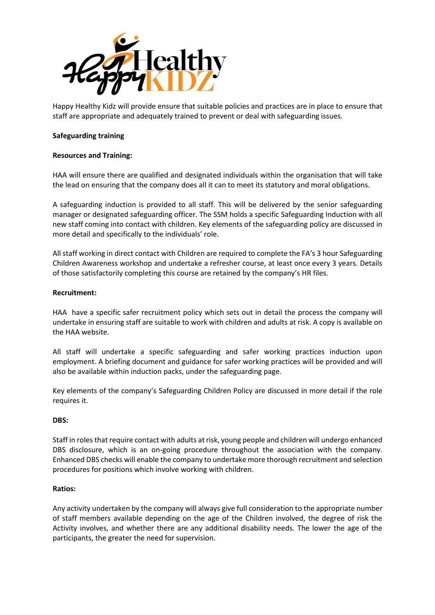

Happy Healthy Kidz will provide ensure that suitable policies and practices are in place to ensure that staff are appropriate and adequately trained to prevent or deal with safeguarding issues.

### **Safeguarding training**

## **Resources and Training:**

HAA will ensure there are qualified and designated individuals within the organisation that will take the lead on ensuring that the company does all it can to meet its statutory and moral obligations.

A safeguarding induction is provided to all staff. This will be delivered by the senior safeguarding manager or designated safeguarding officer. The SSM holds a specific Safeguarding Induction with all new staff coming into contact with children. Key elements of the safeguarding policy are discussed in more detail and specifically to the individuals' role.

All staff working in direct contact with Children are required to complete the FA's 3 hour Safeguarding Children Awareness workshop and undertake a refresher course, at least once every 3 years. Details of those satisfactorily completing this course are retained by the company's HR files.

### **Recruitment:**

HAA have a specific safer recruitment policy which sets out in detail the process the company will undertake in ensuring staff are suitable to work with children and adults at risk. A copy is available on the HAA website.

All staff will undertake a specific safeguarding and safer working practices induction upon employment. A briefing document and guidance for safer working practices will be provided and will also be available within induction packs, under the safeguarding page.

Key elements of the company's Safeguarding Children Policy are discussed in more detail if the role requires it.

### **DBS:**

Staff in roles that require contact with adults at risk, young people and children will undergo enhanced DBS disclosure, which is an on-going procedure throughout the association with the company. Enhanced DBS checks will enable the company to undertake more thorough recruitment and selection procedures for positions which involve working with children.

### **Ratios:**

Any activity undertaken by the company will always give full consideration to the appropriate number of staff members available depending on the age of the Children involved, the degree of risk the Activity involves, and whether there are any additional disability needs. The lower the age of the participants, the greater the need for supervision.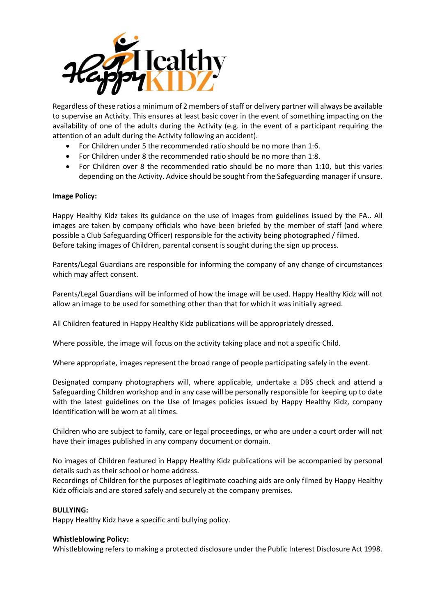

Regardless of these ratios a minimum of 2 members of staff or delivery partner will always be available to supervise an Activity. This ensures at least basic cover in the event of something impacting on the availability of one of the adults during the Activity (e.g. in the event of a participant requiring the attention of an adult during the Activity following an accident).

- For Children under 5 the recommended ratio should be no more than 1:6.
- For Children under 8 the recommended ratio should be no more than 1:8.
- For Children over 8 the recommended ratio should be no more than 1:10, but this varies depending on the Activity. Advice should be sought from the Safeguarding manager if unsure.

### **Image Policy:**

Happy Healthy Kidz takes its guidance on the use of images from guidelines issued by the FA.. All images are taken by company officials who have been briefed by the member of staff (and where possible a Club Safeguarding Officer) responsible for the activity being photographed / filmed. Before taking images of Children, parental consent is sought during the sign up process.

Parents/Legal Guardians are responsible for informing the company of any change of circumstances which may affect consent.

Parents/Legal Guardians will be informed of how the image will be used. Happy Healthy Kidz will not allow an image to be used for something other than that for which it was initially agreed.

All Children featured in Happy Healthy Kidz publications will be appropriately dressed.

Where possible, the image will focus on the activity taking place and not a specific Child.

Where appropriate, images represent the broad range of people participating safely in the event.

Designated company photographers will, where applicable, undertake a DBS check and attend a Safeguarding Children workshop and in any case will be personally responsible for keeping up to date with the latest guidelines on the Use of Images policies issued by Happy Healthy Kidz, company Identification will be worn at all times.

Children who are subject to family, care or legal proceedings, or who are under a court order will not have their images published in any company document or domain.

No images of Children featured in Happy Healthy Kidz publications will be accompanied by personal details such as their school or home address.

Recordings of Children for the purposes of legitimate coaching aids are only filmed by Happy Healthy Kidz officials and are stored safely and securely at the company premises.

### **BULLYING:**

Happy Healthy Kidz have a specific anti bullying policy.

### **Whistleblowing Policy:**

Whistleblowing refers to making a protected disclosure under the Public Interest Disclosure Act 1998.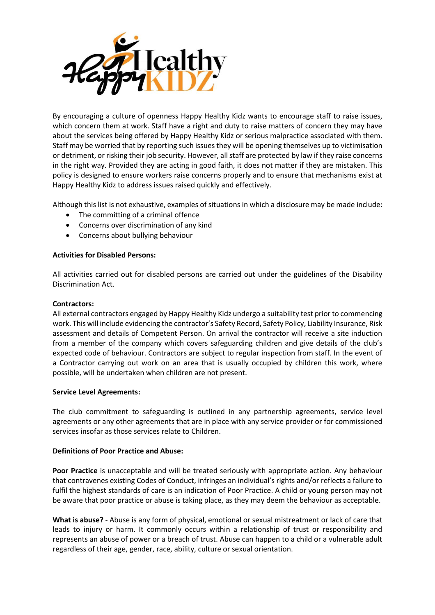

By encouraging a culture of openness Happy Healthy Kidz wants to encourage staff to raise issues, which concern them at work. Staff have a right and duty to raise matters of concern they may have about the services being offered by Happy Healthy Kidz or serious malpractice associated with them. Staff may be worried that by reporting such issues they will be opening themselves up to victimisation or detriment, or risking their job security. However, all staff are protected by law if they raise concerns in the right way. Provided they are acting in good faith, it does not matter if they are mistaken. This policy is designed to ensure workers raise concerns properly and to ensure that mechanisms exist at Happy Healthy Kidz to address issues raised quickly and effectively.

Although this list is not exhaustive, examples of situations in which a disclosure may be made include:

- The committing of a criminal offence
- Concerns over discrimination of any kind
- Concerns about bullying behaviour

#### **Activities for Disabled Persons:**

All activities carried out for disabled persons are carried out under the guidelines of the Disability Discrimination Act.

#### **Contractors:**

All external contractors engaged by Happy Healthy Kidz undergo a suitability test prior to commencing work. This will include evidencing the contractor's Safety Record, Safety Policy, Liability Insurance, Risk assessment and details of Competent Person. On arrival the contractor will receive a site induction from a member of the company which covers safeguarding children and give details of the club's expected code of behaviour. Contractors are subject to regular inspection from staff. In the event of a Contractor carrying out work on an area that is usually occupied by children this work, where possible, will be undertaken when children are not present.

### **Service Level Agreements:**

The club commitment to safeguarding is outlined in any partnership agreements, service level agreements or any other agreements that are in place with any service provider or for commissioned services insofar as those services relate to Children.

### **Definitions of Poor Practice and Abuse:**

**Poor Practice** is unacceptable and will be treated seriously with appropriate action. Any behaviour that contravenes existing Codes of Conduct, infringes an individual's rights and/or reflects a failure to fulfil the highest standards of care is an indication of Poor Practice. A child or young person may not be aware that poor practice or abuse is taking place, as they may deem the behaviour as acceptable.

**What is abuse?** - Abuse is any form of physical, emotional or sexual mistreatment or lack of care that leads to injury or harm. It commonly occurs within a relationship of trust or responsibility and represents an abuse of power or a breach of trust. Abuse can happen to a child or a vulnerable adult regardless of their age, gender, race, ability, culture or sexual orientation.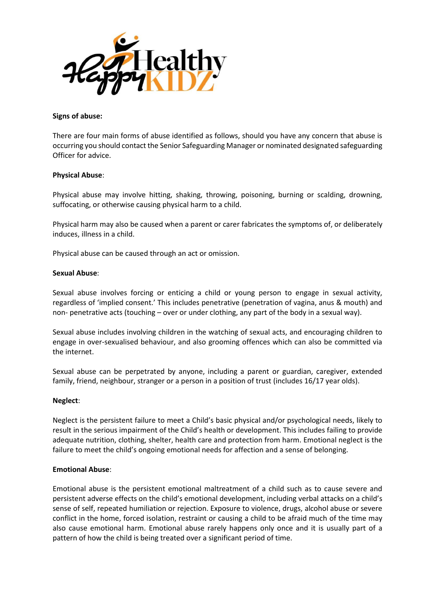

#### **Signs of abuse:**

There are four main forms of abuse identified as follows, should you have any concern that abuse is occurring you should contact the Senior Safeguarding Manager or nominated designated safeguarding Officer for advice.

### **Physical Abuse**:

Physical abuse may involve hitting, shaking, throwing, poisoning, burning or scalding, drowning, suffocating, or otherwise causing physical harm to a child.

Physical harm may also be caused when a parent or carer fabricates the symptoms of, or deliberately induces, illness in a child.

Physical abuse can be caused through an act or omission.

#### **Sexual Abuse**:

Sexual abuse involves forcing or enticing a child or young person to engage in sexual activity, regardless of 'implied consent.' This includes penetrative (penetration of vagina, anus & mouth) and non- penetrative acts (touching – over or under clothing, any part of the body in a sexual way).

Sexual abuse includes involving children in the watching of sexual acts, and encouraging children to engage in over-sexualised behaviour, and also grooming offences which can also be committed via the internet.

Sexual abuse can be perpetrated by anyone, including a parent or guardian, caregiver, extended family, friend, neighbour, stranger or a person in a position of trust (includes 16/17 year olds).

#### **Neglect**:

Neglect is the persistent failure to meet a Child's basic physical and/or psychological needs, likely to result in the serious impairment of the Child's health or development. This includes failing to provide adequate nutrition, clothing, shelter, health care and protection from harm. Emotional neglect is the failure to meet the child's ongoing emotional needs for affection and a sense of belonging.

### **Emotional Abuse**:

Emotional abuse is the persistent emotional maltreatment of a child such as to cause severe and persistent adverse effects on the child's emotional development, including verbal attacks on a child's sense of self, repeated humiliation or rejection. Exposure to violence, drugs, alcohol abuse or severe conflict in the home, forced isolation, restraint or causing a child to be afraid much of the time may also cause emotional harm. Emotional abuse rarely happens only once and it is usually part of a pattern of how the child is being treated over a significant period of time.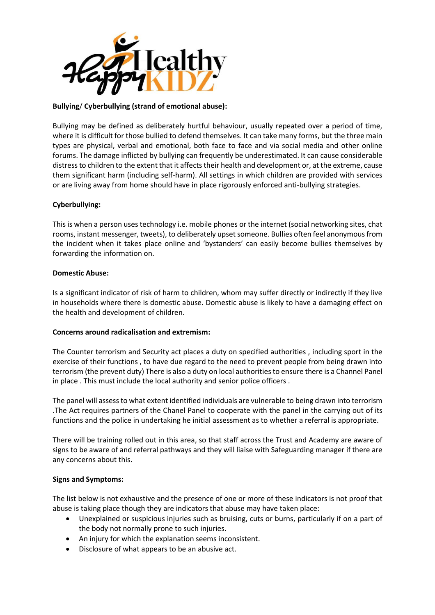

# **Bullying**/ **Cyberbullying (strand of emotional abuse):**

Bullying may be defined as deliberately hurtful behaviour, usually repeated over a period of time, where it is difficult for those bullied to defend themselves. It can take many forms, but the three main types are physical, verbal and emotional, both face to face and via social media and other online forums. The damage inflicted by bullying can frequently be underestimated. It can cause considerable distress to children to the extent that it affects their health and development or, at the extreme, cause them significant harm (including self-harm). All settings in which children are provided with services or are living away from home should have in place rigorously enforced anti-bullying strategies.

### **Cyberbullying:**

This is when a person uses technology i.e. mobile phones or the internet (social networking sites, chat rooms, instant messenger, tweets), to deliberately upset someone. Bullies often feel anonymous from the incident when it takes place online and 'bystanders' can easily become bullies themselves by forwarding the information on.

### **Domestic Abuse:**

Is a significant indicator of risk of harm to children, whom may suffer directly or indirectly if they live in households where there is domestic abuse. Domestic abuse is likely to have a damaging effect on the health and development of children.

### **Concerns around radicalisation and extremism:**

The Counter terrorism and Security act places a duty on specified authorities , including sport in the exercise of their functions , to have due regard to the need to prevent people from being drawn into terrorism (the prevent duty) There is also a duty on local authorities to ensure there is a Channel Panel in place . This must include the local authority and senior police officers .

The panel will assess to what extent identified individuals are vulnerable to being drawn into terrorism .The Act requires partners of the Chanel Panel to cooperate with the panel in the carrying out of its functions and the police in undertaking he initial assessment as to whether a referral is appropriate.

There will be training rolled out in this area, so that staff across the Trust and Academy are aware of signs to be aware of and referral pathways and they will liaise with Safeguarding manager if there are any concerns about this.

### **Signs and Symptoms:**

The list below is not exhaustive and the presence of one or more of these indicators is not proof that abuse is taking place though they are indicators that abuse may have taken place:

- Unexplained or suspicious injuries such as bruising, cuts or burns, particularly if on a part of the body not normally prone to such injuries.
- An injury for which the explanation seems inconsistent.
- Disclosure of what appears to be an abusive act.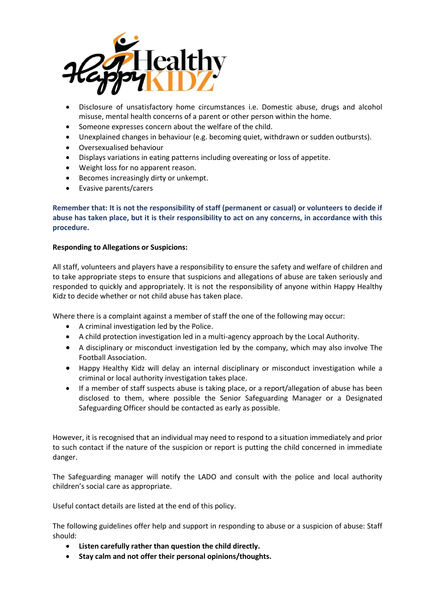

- Disclosure of unsatisfactory home circumstances i.e. Domestic abuse, drugs and alcohol misuse, mental health concerns of a parent or other person within the home.
- Someone expresses concern about the welfare of the child.
- Unexplained changes in behaviour (e.g. becoming quiet, withdrawn or sudden outbursts).
- Oversexualised behaviour
- Displays variations in eating patterns including overeating or loss of appetite.
- Weight loss for no apparent reason.
- Becomes increasingly dirty or unkempt.
- Evasive parents/carers

**Remember that: It is not the responsibility of staff (permanent or casual) or volunteers to decide if abuse has taken place, but it is their responsibility to act on any concerns, in accordance with this procedure.** 

### **Responding to Allegations or Suspicions:**

All staff, volunteers and players have a responsibility to ensure the safety and welfare of children and to take appropriate steps to ensure that suspicions and allegations of abuse are taken seriously and responded to quickly and appropriately. It is not the responsibility of anyone within Happy Healthy Kidz to decide whether or not child abuse has taken place.

Where there is a complaint against a member of staff the one of the following may occur:

- A criminal investigation led by the Police.
- A child protection investigation led in a multi-agency approach by the Local Authority.
- A disciplinary or misconduct investigation led by the company, which may also involve The Football Association.
- Happy Healthy Kidz will delay an internal disciplinary or misconduct investigation while a criminal or local authority investigation takes place.
- If a member of staff suspects abuse is taking place, or a report/allegation of abuse has been disclosed to them, where possible the Senior Safeguarding Manager or a Designated Safeguarding Officer should be contacted as early as possible.

However, it is recognised that an individual may need to respond to a situation immediately and prior to such contact if the nature of the suspicion or report is putting the child concerned in immediate danger.

The Safeguarding manager will notify the LADO and consult with the police and local authority children's social care as appropriate.

Useful contact details are listed at the end of this policy.

The following guidelines offer help and support in responding to abuse or a suspicion of abuse: Staff should:

- **Listen carefully rather than question the child directly.**
- **Stay calm and not offer their personal opinions/thoughts.**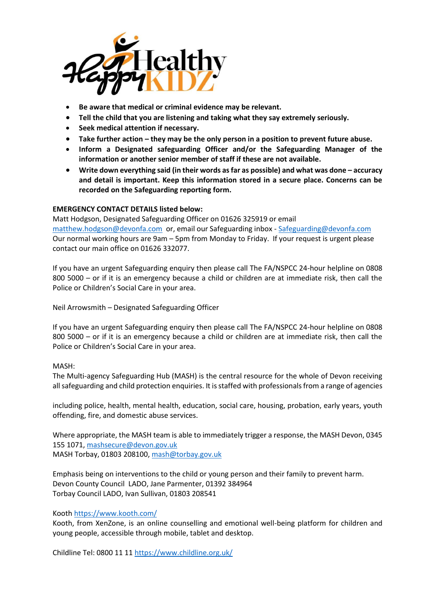

- **Be aware that medical or criminal evidence may be relevant.**
- **Tell the child that you are listening and taking what they say extremely seriously.**
- **Seek medical attention if necessary.**
- **•** Take further action they may be the only person in a position to prevent future abuse.
- **Inform a Designated safeguarding Officer and/or the Safeguarding Manager of the information or another senior member of staff if these are not available.**
- **Write down everything said (in their words as far as possible) and what was done – accuracy and detail is important. Keep this information stored in a secure place. Concerns can be recorded on the Safeguarding reporting form.**

### **EMERGENCY CONTACT DETAILS listed below:**

Matt Hodgson, Designated Safeguarding Officer on 01626 325919 or email [matthew.hodgson@devonfa.com](mailto:matthew.hodgson@devonfa.com) or, email our Safeguarding inbox - [Safeguarding@devonfa.com](mailto:Safeguarding@devonfa.com) Our normal working hours are 9am – 5pm from Monday to Friday. If your request is urgent please contact our main office on 01626 332077.

If you have an urgent Safeguarding enquiry then please call The FA/NSPCC 24-hour helpline on 0808 800 5000 – or if it is an emergency because a child or children are at immediate risk, then call the Police or Children's Social Care in your area.

Neil Arrowsmith – Designated Safeguarding Officer

If you have an urgent Safeguarding enquiry then please call The FA/NSPCC 24-hour helpline on 0808 800 5000 – or if it is an emergency because a child or children are at immediate risk, then call the Police or Children's Social Care in your area.

### MASH:

The Multi-agency Safeguarding Hub (MASH) is the central resource for the whole of Devon receiving all safeguarding and child protection enquiries. It is staffed with professionals from a range of agencies

including police, health, mental health, education, social care, housing, probation, early years, youth offending, fire, and domestic abuse services.

Where appropriate, the MASH team is able to immediately trigger a response, the MASH Devon, 0345 155 1071[, mashsecure@devon.gov.uk](mailto:mashsecure@devon.gov.uk) MASH Torbay, 01803 208100[, mash@torbay.gov.uk](mailto:mash@torbay.gov.uk)

Emphasis being on interventions to the child or young person and their family to prevent harm. Devon County Council LADO, Jane Parmenter, 01392 384964 Torbay Council LADO, Ivan Sullivan, 01803 208541

### Kooth<https://www.kooth.com/>

Kooth, from XenZone, is an online counselling and emotional well-being platform for children and young people, accessible through mobile, tablet and desktop.

Childline Tel: 0800 11 11<https://www.childline.org.uk/>